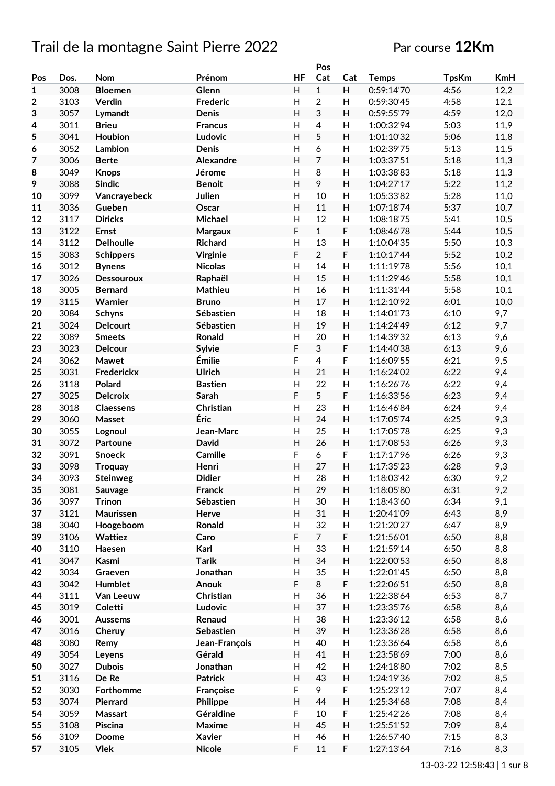## Trail de la montagne Saint Pierre 2022 Par course 12Km

|                |      |                  |                 |                           | Pos            |                           |              |              |            |
|----------------|------|------------------|-----------------|---------------------------|----------------|---------------------------|--------------|--------------|------------|
| Pos            | Dos. | Nom              | Prénom          | HF                        | Cat            | Cat                       | <b>Temps</b> | <b>TpsKm</b> | <b>KmH</b> |
| $\mathbf{1}$   | 3008 | <b>Bloemen</b>   | Glenn           | H                         | $\mathbf{1}$   | H                         | 0:59:14'70   | 4:56         | 12,2       |
| $\mathbf{2}$   | 3103 | Verdin           | <b>Frederic</b> | H                         | $\overline{2}$ | H                         | 0:59:30'45   | 4:58         | 12,1       |
| 3              | 3057 | Lymandt          | Denis           | H                         | 3              | H                         | 0:59:55'79   | 4:59         | 12,0       |
| 4              | 3011 | <b>Brieu</b>     | <b>Francus</b>  | Н                         | $\overline{4}$ | H                         | 1:00:32'94   | 5:03         | 11,9       |
| 5              | 3041 | Houbion          | Ludovic         | Η                         | 5              | H                         | 1:01:10'32   | 5:06         | 11,8       |
|                | 3052 | Lambion          | <b>Denis</b>    | H                         | 6              | H                         | 1:02:39'75   | 5:13         | 11,5       |
| 6              |      |                  |                 |                           | $\overline{7}$ |                           |              |              |            |
| $\overline{7}$ | 3006 | <b>Berte</b>     | Alexandre       | $\mathsf{H}$              |                | H                         | 1:03:37'51   | 5:18         | 11,3       |
| 8              | 3049 | <b>Knops</b>     | Jérome          | H                         | 8              | H                         | 1:03:38'83   | 5:18         | 11,3       |
| 9              | 3088 | <b>Sindic</b>    | <b>Benoit</b>   | Н                         | 9              | H                         | 1:04:27'17   | 5:22         | 11,2       |
| 10             | 3099 | Vancrayebeck     | Julien          | $\overline{\mathsf{H}}$   | 10             | Н                         | 1:05:33'82   | 5:28         | 11,0       |
| 11             | 3036 | Gueben           | Oscar           | H                         | 11             | H                         | 1:07:18'74   | 5:37         | 10,7       |
| 12             | 3117 | <b>Diricks</b>   | Michael         | Н                         | 12             | H                         | 1:08:18'75   | 5:41         | 10,5       |
| 13             | 3122 | <b>Ernst</b>     | Margaux         | F                         | $\mathbf{1}$   | F                         | 1:08:46'78   | 5:44         | 10,5       |
| 14             | 3112 | <b>Delhoulle</b> | <b>Richard</b>  | $\mathsf{H}$              | 13             | Н                         | 1:10:04'35   | 5:50         | 10,3       |
| 15             | 3083 | <b>Schippers</b> | Virginie        | F                         | $\overline{2}$ | F                         | 1:10:17'44   | 5:52         | 10,2       |
| 16             | 3012 | <b>Bynens</b>    | <b>Nicolas</b>  | Н                         | 14             | Н                         | 1:11:19'78   | 5:56         | 10,1       |
| 17             | 3026 | Dessouroux       | Raphaël         | $\mathsf{H}$              | 15             | $\boldsymbol{\mathsf{H}}$ | 1:11:29'46   | 5:58         | 10,1       |
| 18             | 3005 |                  | Mathieu         | Н                         | 16             | H                         | 1:11:31'44   | 5:58         |            |
|                |      | <b>Bernard</b>   |                 |                           |                |                           |              |              | 10,1       |
| 19             | 3115 | Warnier          | <b>Bruno</b>    | $\mathsf{H}$              | 17             | $\boldsymbol{\mathsf{H}}$ | 1:12:10'92   | 6:01         | 10,0       |
| 20             | 3084 | <b>Schyns</b>    | Sébastien       | $\overline{\mathsf{H}}$   | 18             | H                         | 1:14:01'73   | 6:10         | 9,7        |
| 21             | 3024 | <b>Delcourt</b>  | Sébastien       | H                         | 19             | H                         | 1:14:24'49   | 6:12         | 9,7        |
| 22             | 3089 | <b>Smeets</b>    | Ronald          | Н                         | 20             | H                         | 1:14:39'32   | 6:13         | 9,6        |
| 23             | 3023 | <b>Delcour</b>   | Sylvie          | F                         | 3              | F                         | 1:14:40'38   | 6:13         | 9,6        |
| 24             | 3062 | Mawet            | Émilie          | F                         | 4              | F                         | 1:16:09'55   | 6:21         | 9,5        |
| 25             | 3031 | Frederickx       | Ulrich          | Η                         | 21             | H                         | 1:16:24'02   | 6:22         | 9,4        |
| 26             | 3118 | Polard           | <b>Bastien</b>  | H                         | 22             | H                         | 1:16:26'76   | 6:22         | 9,4        |
| 27             | 3025 | <b>Delcroix</b>  | Sarah           | F                         | 5              | F                         | 1:16:33'56   | 6:23         | 9,4        |
| 28             | 3018 | <b>Claessens</b> | Christian       | Н                         | 23             | H                         | 1:16:46'84   | 6:24         | 9,4        |
| 29             | 3060 | Masset           | Éric            | $\boldsymbol{\mathsf{H}}$ | 24             | H                         | 1:17:05'74   | 6:25         | 9,3        |
| 30             | 3055 |                  | Jean-Marc       | $\mathsf{H}$              | 25             | Н                         |              | 6:25         |            |
|                |      | Lognoul          |                 |                           |                |                           | 1:17:05'78   |              | 9,3        |
| 31             | 3072 | Partoune         | David           | $\boldsymbol{\mathsf{H}}$ | 26             | H                         | 1:17:08'53   | 6:26         | 9,3        |
| 32             | 3091 | <b>Snoeck</b>    | Camille         | F                         | 6              | F                         | 1:17:17'96   | 6:26         | 9,3        |
| 33             | 3098 | <b>Troquay</b>   | Henri           | $\overline{H}$            | 27             | H                         | 1:17:35'23   | 6:28         | 9,3        |
| 34             | 3093 | <b>Steinweg</b>  | <b>Didier</b>   | Н                         | 28             | Н                         | 1:18:03'42   | 6:30         | 9,2        |
| 35             | 3081 | Sauvage          | Franck          | H                         | 29             | H                         | 1:18:05'80   | 6:31         | 9,2        |
| 36             | 3097 | <b>Trinon</b>    | Sébastien       | H                         | 30             | H                         | 1:18:43'60   | 6:34         | 9,1        |
| 37             | 3121 | Maurissen        | Herve           | H                         | 31             | H                         | 1:20:41'09   | 6:43         | 8,9        |
| 38             | 3040 | Hoogeboom        | Ronald          | H                         | 32             | H                         | 1:21:20'27   | 6:47         | 8,9        |
| 39             | 3106 | Wattiez          | Caro            | F                         | $\overline{7}$ | F                         | 1:21:56'01   | 6:50         | 8,8        |
| 40             | 3110 | Haesen           | Karl            | Н                         | 33             | H                         | 1:21:59'14   | 6:50         | 8,8        |
| 41             | 3047 | Kasmi            | <b>Tarik</b>    | Н                         | 34             | Н                         | 1:22:00'53   | 6:50         | 8,8        |
| 42             | 3034 | Graeven          | Jonathan        | Н                         | 35             | H                         | 1:22:01'45   | 6:50         | 8,8        |
|                |      | Humblet          |                 | F                         | 8              | F                         | 1:22:06'51   |              |            |
| 43             | 3042 |                  | Anouk           |                           |                |                           |              | 6:50         | 8,8        |
| 44             | 3111 | Van Leeuw        | Christian       | H                         | 36             | H                         | 1:22:38'64   | 6:53         | 8,7        |
| 45             | 3019 | Coletti          | Ludovic         | H                         | 37             | H                         | 1:23:35'76   | 6:58         | 8,6        |
| 46             | 3001 | <b>Aussems</b>   | Renaud          | H                         | 38             | H                         | 1:23:36'12   | 6:58         | 8,6        |
| 47             | 3016 | Cheruy           | Sebastien       | H                         | 39             | H                         | 1:23:36'28   | 6:58         | 8,6        |
| 48             | 3080 | Remy             | Jean-François   | Н                         | 40             | H                         | 1:23:36'64   | 6:58         | 8,6        |
| 49             | 3054 | Leyens           | Gérald          | H                         | 41             | H                         | 1:23:58'69   | 7:00         | 8,6        |
| 50             | 3027 | <b>Dubois</b>    | Jonathan        | H                         | 42             | H                         | 1:24:18'80   | 7:02         | 8,5        |
| 51             | 3116 | De Re            | <b>Patrick</b>  | H                         | 43             | H                         | 1:24:19'36   | 7:02         | 8,5        |
| 52             | 3030 | Forthomme        | Françoise       | F                         | 9              | F                         | 1:25:23'12   | 7:07         | 8,4        |
| 53             | 3074 | Pierrard         | Philippe        | Н                         | 44             | H                         | 1:25:34'68   | 7:08         | 8,4        |
| 54             | 3059 | Massart          | Géraldine       | F                         | 10             | F                         | 1:25:42'26   | 7:08         | 8,4        |
|                |      |                  |                 |                           |                |                           |              |              |            |
| 55             | 3108 | Piscina          | Maxime          | Н                         | 45             | H                         | 1:25:51'52   | 7:09         | 8,4        |
| 56             | 3109 | Doome            | <b>Xavier</b>   | H                         | 46             | H                         | 1:26:57'40   | 7:15         | 8,3        |
| 57             | 3105 | <b>Vlek</b>      | <b>Nicole</b>   | F                         | 11             | F                         | 1:27:13'64   | 7:16         | 8,3        |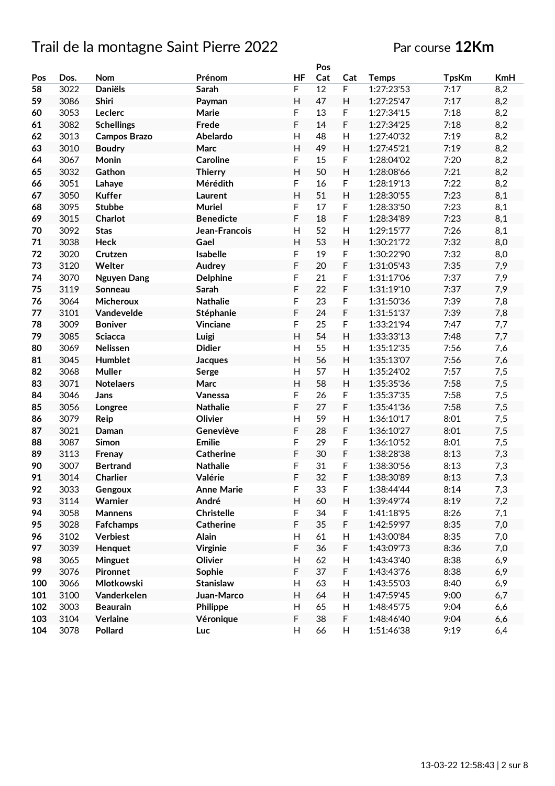### Par course **12Km**

|     |              |                     |                            |                           | Pos |                           |              |              |            |
|-----|--------------|---------------------|----------------------------|---------------------------|-----|---------------------------|--------------|--------------|------------|
| Pos | Dos.         | Nom                 | Prénom                     | HF                        | Cat | Cat                       | <b>Temps</b> | <b>TpsKm</b> | <b>KmH</b> |
| 58  | 3022         | <b>Daniëls</b>      | Sarah                      | F                         | 12  | $\mathsf F$               | 1:27:23'53   | 7:17         | 8,2        |
| 59  | 3086         | Shiri               | Payman                     | $\mathsf{H}$              | 47  | H                         | 1:27:25'47   | 7:17         | 8,2        |
| 60  | 3053         | Leclerc             | Marie                      | F                         | 13  | F                         | 1:27:34'15   | 7:18         | 8,2        |
| 61  | 3082         | <b>Schellings</b>   | Frede                      | F                         | 14  | F                         | 1:27:34'25   | 7:18         | 8,2        |
| 62  | 3013         | <b>Campos Brazo</b> | Abelardo                   | H                         | 48  | H                         | 1:27:40'32   | 7:19         | 8,2        |
| 63  | 3010         | <b>Boudry</b>       | Marc                       | Η                         | 49  | H                         | 1:27:45'21   | 7:19         | 8,2        |
| 64  | 3067         | Monin               | <b>Caroline</b>            | F                         | 15  | F                         | 1:28:04'02   | 7:20         | 8,2        |
| 65  | 3032         | Gathon              | <b>Thierry</b>             | $\mathsf{H}$              | 50  | H                         | 1:28:08'66   | 7:21         | 8,2        |
| 66  | 3051         | Lahaye              | Mérédith                   | F                         | 16  | F                         | 1:28:19'13   | 7:22         | 8,2        |
| 67  | 3050         | <b>Kuffer</b>       | Laurent                    | $\overline{H}$            | 51  | H                         | 1:28:30'55   | 7:23         | 8,1        |
| 68  | 3095         | <b>Stubbe</b>       | <b>Muriel</b>              | F                         | 17  | F                         | 1:28:33'50   | 7:23         | 8,1        |
| 69  | 3015         | Charlot             | <b>Benedicte</b>           | F                         | 18  | F                         | 1:28:34'89   | 7:23         | 8,1        |
| 70  | 3092         | <b>Stas</b>         | Jean-Francois              | $\mathsf{H}$              | 52  | H                         | 1:29:15'77   | 7:26         | 8,1        |
| 71  | 3038         | <b>Heck</b>         | Gael                       | $\mathsf{H}$              | 53  | H                         | 1:30:21'72   | 7:32         | 8,0        |
| 72  | 3020         | Crutzen             | Isabelle                   | F                         | 19  | F                         | 1:30:22'90   | 7:32         | 8,0        |
| 73  | 3120         | Welter              | Audrey                     | F                         | 20  | F                         | 1:31:05'43   | 7:35         | 7,9        |
| 74  | 3070         | <b>Nguyen Dang</b>  | <b>Delphine</b>            | F                         | 21  | F                         | 1:31:17'06   | 7:37         | 7,9        |
| 75  | 3119         | Sonneau             | Sarah                      | F                         | 22  | F                         | 1:31:19'10   | 7:37         | 7,9        |
| 76  | 3064         | <b>Micheroux</b>    | <b>Nathalie</b>            | F                         | 23  | F                         | 1:31:50'36   | 7:39         | 7,8        |
| 77  | 3101         | Vandevelde          | Stéphanie                  | F                         | 24  | F                         | 1:31:51'37   | 7:39         | 7,8        |
| 78  | 3009         | <b>Boniver</b>      | Vinciane                   | F                         | 25  | F                         | 1:33:21'94   | 7:47         | 7,7        |
| 79  | 3085         | <b>Sciacca</b>      | Luigi                      | $\overline{H}$            | 54  | H                         | 1:33:33'13   | 7:48         | 7,7        |
| 80  | 3069         | Nelissen            | <b>Didier</b>              | $\mathsf{H}$              | 55  | H                         | 1:35:12'35   | 7:56         | 7,6        |
| 81  | 3045         | Humblet             | <b>Jacques</b>             | H                         | 56  | H                         | 1:35:13'07   | 7:56         | 7,6        |
| 82  | 3068         | <b>Muller</b>       |                            | H                         | 57  | H                         | 1:35:24'02   | 7:57         |            |
| 83  | 3071         | <b>Notelaers</b>    | Serge<br>Marc              | $\mathsf{H}$              | 58  | H                         | 1:35:35'36   | 7:58         | 7,5<br>7,5 |
| 84  | 3046         |                     |                            | F                         | 26  | F                         | 1:35:37'35   | 7:58         |            |
| 85  |              | Jans                | Vanessa                    | F                         | 27  | F                         |              | 7:58         | 7,5        |
| 86  | 3056<br>3079 | Longree             | <b>Nathalie</b><br>Olivier | $\mathsf{H}$              | 59  | H                         | 1:35:41'36   | 8:01         | 7,5        |
|     |              | Reip                |                            |                           |     | F                         | 1:36:10'17   |              | 7,5        |
| 87  | 3021         | Daman               | Geneviève                  | F                         | 28  |                           | 1:36:10'27   | 8:01         | 7,5        |
| 88  | 3087         | Simon               | <b>Emilie</b>              | F                         | 29  | F                         | 1:36:10'52   | 8:01         | 7,5        |
| 89  | 3113         | Frenay              | <b>Catherine</b>           | F                         | 30  | F                         | 1:38:28'38   | 8:13         | 7,3        |
| 90  | 3007         | <b>Bertrand</b>     | <b>Nathalie</b>            | F<br>F                    | 31  | F                         | 1:38:30'56   | 8:13         | 7,3        |
| 91  | 3014         | Charlier            | Valérie                    |                           | 32  | F                         | 1:38:30'89   | 8:13         | 7,3        |
| 92  | 3033         | Gengoux             | <b>Anne Marie</b>          | F                         | 33  | $\mathsf F$               | 1:38:44'44   | 8:14         | 7,3        |
| 93  | 3114         | Warnier             | André                      | Н                         | 60  | H                         | 1:39:49'74   | 8:19         | 7,2        |
| 94  | 3058         | <b>Mannens</b>      | <b>Christelle</b>          | F                         | 34  | F                         | 1:41:18'95   | 8:26         | 7,1        |
| 95  | 3028         | <b>Fafchamps</b>    | <b>Catherine</b>           | F                         | 35  | F                         | 1:42:59'97   | 8:35         | 7,0        |
| 96  | 3102         | <b>Verbiest</b>     | Alain                      | $\boldsymbol{\mathsf{H}}$ | 61  | $\boldsymbol{\mathsf{H}}$ | 1:43:00'84   | 8:35         | 7,0        |
| 97  | 3039         | Henquet             | <b>Virginie</b>            | F                         | 36  | $\mathsf F$               | 1:43:09'73   | 8:36         | 7,0        |
| 98  | 3065         | Minguet             | Olivier                    | $\boldsymbol{\mathsf{H}}$ | 62  | H                         | 1:43:43'40   | 8:38         | 6,9        |
| 99  | 3076         | <b>Pironnet</b>     | Sophie                     | F                         | 37  | F                         | 1:43:43'76   | 8:38         | 6,9        |
| 100 | 3066         | Mlotkowski          | Stanislaw                  | H                         | 63  | $\boldsymbol{\mathsf{H}}$ | 1:43:55'03   | 8:40         | 6,9        |
| 101 | 3100         | Vanderkelen         | Juan-Marco                 | H                         | 64  | H                         | 1:47:59'45   | 9:00         | 6,7        |
| 102 | 3003         | <b>Beaurain</b>     | Philippe                   | H                         | 65  | H                         | 1:48:45'75   | 9:04         | 6,6        |
| 103 | 3104         | Verlaine            | Véronique                  | F                         | 38  | F                         | 1:48:46'40   | 9:04         | 6,6        |
| 104 | 3078         | Pollard             | Luc                        | H                         | 66  | H                         | 1:51:46'38   | 9:19         | 6,4        |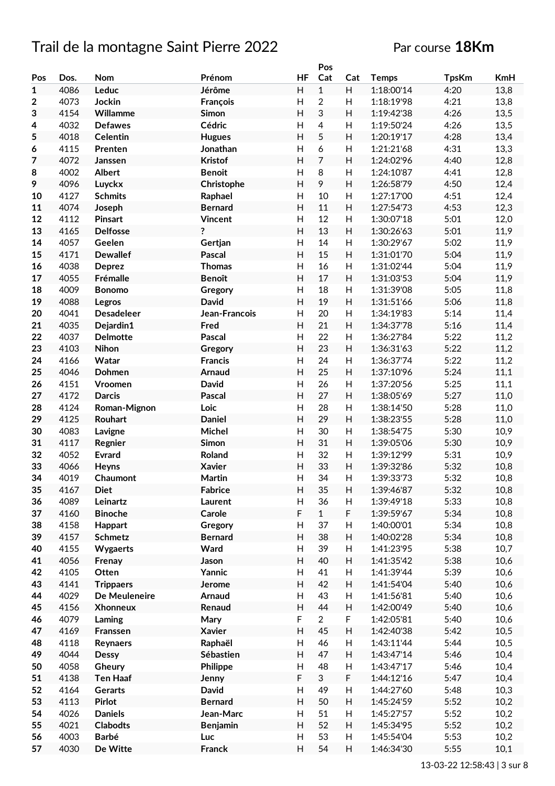## Trail de la montagne Saint Pierre 2022 Par course 18Km

|              |      |                   |                 |           | Pos            |                           |              |              |            |
|--------------|------|-------------------|-----------------|-----------|----------------|---------------------------|--------------|--------------|------------|
| Pos          | Dos. | <b>Nom</b>        | Prénom          | <b>HF</b> | Cat            | Cat                       | <b>Temps</b> | <b>TpsKm</b> | <b>KmH</b> |
| $\mathbf{1}$ | 4086 | Leduc             | Jérôme          | H         | $\mathbf{1}$   | H                         | 1:18:00'14   | 4:20         | 13,8       |
| $\mathbf 2$  | 4073 | Jockin            | François        | H         | $\overline{2}$ | $\boldsymbol{\mathsf{H}}$ | 1:18:19'98   | 4:21         | 13,8       |
| 3            | 4154 | Willamme          | Simon           | H         | 3              | $\boldsymbol{\mathsf{H}}$ | 1:19:42'38   | 4:26         | 13,5       |
| 4            | 4032 | <b>Defawes</b>    | Cédric          | Н         | 4              | $\boldsymbol{\mathsf{H}}$ | 1:19:50'24   | 4:26         | 13,5       |
|              | 4018 |                   |                 | H         | 5              | H                         |              | 4:28         |            |
| 5            |      | <b>Celentin</b>   | <b>Hugues</b>   |           |                |                           | 1:20:19'17   |              | 13,4       |
| 6            | 4115 | Prenten           | Jonathan        | H         | 6              | H                         | 1:21:21'68   | 4:31         | 13,3       |
| 7            | 4072 | Janssen           | <b>Kristof</b>  | H         | $\overline{7}$ | H                         | 1:24:02'96   | 4:40         | 12,8       |
| 8            | 4002 | <b>Albert</b>     | <b>Benoit</b>   | H         | 8              | $\boldsymbol{\mathsf{H}}$ | 1:24:10'87   | 4:41         | 12,8       |
| 9            | 4096 | Luyckx            | Christophe      | H         | 9              | $\boldsymbol{\mathsf{H}}$ | 1:26:58'79   | 4:50         | 12,4       |
| 10           | 4127 | <b>Schmits</b>    | Raphael         | Η         | 10             | H                         | 1:27:17'00   | 4:51         | 12,4       |
| 11           | 4074 | Joseph            | <b>Bernard</b>  | H         | 11             | $\boldsymbol{\mathsf{H}}$ | 1:27:54'73   | 4:53         | 12,3       |
| 12           | 4112 | <b>Pinsart</b>    | <b>Vincent</b>  | Н         | 12             | $\boldsymbol{\mathsf{H}}$ | 1:30:07'18   | 5:01         | 12,0       |
| 13           | 4165 | <b>Delfosse</b>   | ?               | H         | 13             | $\boldsymbol{\mathsf{H}}$ | 1:30:26'63   | 5:01         | 11,9       |
| 14           | 4057 | Geelen            | Gertjan         | Η         | 14             | H                         | 1:30:29'67   | 5:02         | 11,9       |
| 15           | 4171 | <b>Dewallef</b>   | Pascal          | H         | 15             | $\boldsymbol{\mathsf{H}}$ | 1:31:01'70   | 5:04         | 11,9       |
| 16           | 4038 | <b>Deprez</b>     | <b>Thomas</b>   | Η         | 16             | Н                         | 1:31:02'44   | 5:04         | 11,9       |
| 17           | 4055 |                   | <b>Benoît</b>   | H         | 17             | H                         |              | 5:04         | 11,9       |
|              |      | Frémalle          |                 |           |                |                           | 1:31:03'53   |              |            |
| 18           | 4009 | <b>Bonomo</b>     | Gregory         | H         | 18             | $\boldsymbol{\mathsf{H}}$ | 1:31:39'08   | 5:05         | 11,8       |
| 19           | 4088 | Legros            | <b>David</b>    | H         | 19             | H                         | 1:31:51'66   | 5:06         | 11,8       |
| 20           | 4041 | <b>Desadeleer</b> | Jean-Francois   | H         | 20             | $\boldsymbol{\mathsf{H}}$ | 1:34:19'83   | 5:14         | 11,4       |
| 21           | 4035 | Dejardin1         | Fred            | H         | 21             | H                         | 1:34:37'78   | 5:16         | 11,4       |
| 22           | 4037 | <b>Delmotte</b>   | Pascal          | H         | 22             | $\boldsymbol{\mathsf{H}}$ | 1:36:27'84   | 5:22         | 11,2       |
| 23           | 4103 | Nihon             | Gregory         | H         | 23             | $\boldsymbol{\mathsf{H}}$ | 1:36:31'63   | 5:22         | 11,2       |
| 24           | 4166 | Watar             | <b>Francis</b>  | Η         | 24             | H                         | 1:36:37'74   | 5:22         | 11,2       |
| 25           | 4046 | Dohmen            | Arnaud          | H         | 25             | H                         | 1:37:10'96   | 5:24         | 11,1       |
| 26           | 4151 | Vroomen           | <b>David</b>    | Η         | 26             | H                         | 1:37:20'56   | 5:25         | 11,1       |
| 27           | 4172 | <b>Darcis</b>     | Pascal          | H         | 27             | H                         | 1:38:05'69   | 5:27         | 11,0       |
| 28           | 4124 | Roman-Mignon      | Loic            | Н         | 28             | $\boldsymbol{\mathsf{H}}$ | 1:38:14'50   | 5:28         | 11,0       |
| 29           | 4125 | Rouhart           | <b>Daniel</b>   | H         | 29             | H                         | 1:38:23'55   | 5:28         | 11,0       |
| 30           | 4083 |                   | Michel          | Н         | 30             | H                         | 1:38:54'75   | 5:30         | 10,9       |
|              |      | Lavigne           |                 |           |                |                           |              |              |            |
| 31           | 4117 | Regnier           | Simon           | Н         | 31             | $\boldsymbol{\mathsf{H}}$ | 1:39:05'06   | 5:30         | 10,9       |
| 32           | 4052 | <b>Evrard</b>     | Roland          | H         | 32             | H                         | 1:39:12'99   | 5:31         | 10,9       |
| 33           | 4066 | Heyns             | <b>Xavier</b>   | H         | 33             | $\boldsymbol{\mathsf{H}}$ | 1:39:32'86   | 5:32         | 10,8       |
| 34           | 4019 | Chaumont          | Martin          | H         | 34             | H                         | 1:39:33'73   | 5:32         | 10,8       |
| 35           | 4167 | <b>Diet</b>       | <b>Fabrice</b>  | H         | 35             | H                         | 1:39:46'87   | 5:32         | 10,8       |
| 36           | 4089 | Leinartz          | Laurent         | H         | 36             | H                         | 1:39:49'18   | 5:33         | 10,8       |
| 37           | 4160 | <b>Binoche</b>    | Carole          | F         | $\mathbf{1}$   | F                         | 1:39:59'67   | 5:34         | 10,8       |
| 38           | 4158 | Happart           | Gregory         | Н         | 37             | H                         | 1:40:00'01   | 5:34         | 10,8       |
| 39           | 4157 | <b>Schmetz</b>    | <b>Bernard</b>  | H         | 38             | H                         | 1:40:02'28   | 5:34         | 10,8       |
| 40           | 4155 | Wygaerts          | Ward            | Н         | 39             | $\boldsymbol{\mathsf{H}}$ | 1:41:23'95   | 5:38         | 10,7       |
| 41           | 4056 | Frenay            | Jason           | Н         | 40             | H                         | 1:41:35'42   | 5:38         | 10,6       |
| 42           | 4105 | Otten             | Yannic          | H         | 41             | $\boldsymbol{\mathsf{H}}$ | 1:41:39'44   | 5:39         | 10,6       |
| 43           | 4141 | <b>Trippaers</b>  | Jerome          | H         | 42             | H                         | 1:41:54'04   | 5:40         | 10,6       |
| 44           | 4029 | De Meuleneire     | Arnaud          | Н         | 43             | H                         | 1:41:56'81   | 5:40         | 10,6       |
| 45           |      |                   |                 | H         | 44             | $\boldsymbol{\mathsf{H}}$ |              | 5:40         |            |
|              | 4156 | <b>Xhonneux</b>   | Renaud          |           |                |                           | 1:42:00'49   |              | 10,6       |
| 46           | 4079 | Laming            | Mary            | F         | $\overline{2}$ | $\mathsf F$               | 1:42:05'81   | 5:40         | 10,6       |
| 47           | 4169 | Franssen          | <b>Xavier</b>   | H         | 45             | H                         | 1:42:40'38   | 5:42         | 10,5       |
| 48           | 4118 | Reynaers          | Raphaël         | Н         | 46             | H                         | 1:43:11'44   | 5:44         | 10,5       |
| 49           | 4044 | <b>Dessy</b>      | Sébastien       | H         | 47             | H                         | 1:43:47'14   | 5:46         | 10,4       |
| 50           | 4058 | Gheury            | Philippe        | Н         | 48             | Н                         | 1:43:47'17   | 5:46         | 10,4       |
| 51           | 4138 | <b>Ten Haaf</b>   | Jenny           | F         | 3              | F                         | 1:44:12'16   | 5:47         | 10,4       |
| 52           | 4164 | Gerarts           | <b>David</b>    | H         | 49             | $\boldsymbol{\mathsf{H}}$ | 1:44:27'60   | 5:48         | 10,3       |
| 53           | 4113 | <b>Pirlot</b>     | <b>Bernard</b>  | H         | 50             | H                         | 1:45:24'59   | 5:52         | 10,2       |
| 54           | 4026 | <b>Daniels</b>    | Jean-Marc       | Н         | 51             | H                         | 1:45:27'57   | 5:52         | 10,2       |
| 55           | 4021 | <b>Clabodts</b>   | <b>Benjamin</b> | Н         | 52             | H                         | 1:45:34'95   | 5:52         | 10,2       |
| 56           | 4003 | <b>Barbé</b>      | Luc             | H         | 53             | H                         | 1:45:54'04   | 5:53         | 10,2       |
| 57           |      |                   |                 | H         |                | H                         |              |              |            |
|              | 4030 | De Witte          | Franck          |           | 54             |                           | 1:46:34'30   | 5:55         | 10,1       |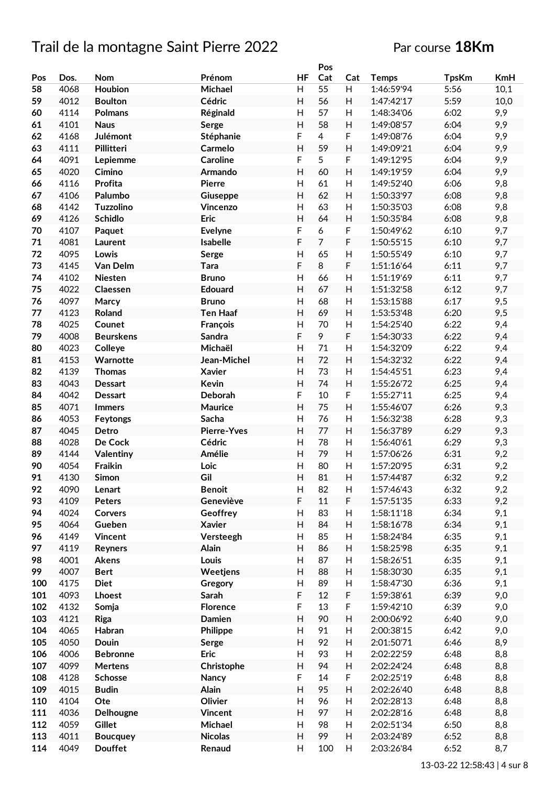### Par course **18Km**

|     |      |                  |                    |    | Pos            |                           |              |              |            |
|-----|------|------------------|--------------------|----|----------------|---------------------------|--------------|--------------|------------|
| Pos | Dos. | <b>Nom</b>       | Prénom             | HF | Cat            | Cat                       | <b>Temps</b> | <b>TpsKm</b> | <b>KmH</b> |
| 58  | 4068 | Houbion          | Michael            | Н  | 55             | H                         | 1:46:59'94   | 5:56         | 10,1       |
| 59  | 4012 | <b>Boulton</b>   | Cédric             | H  | 56             | H                         | 1:47:42'17   | 5:59         | 10,0       |
| 60  | 4114 | <b>Polmans</b>   | Réginald           | H  | 57             | H                         | 1:48:34'06   | 6:02         | 9,9        |
| 61  | 4101 | <b>Naus</b>      | Serge              | H  | 58             | H                         | 1:49:08'57   | 6:04         | 9,9        |
| 62  | 4168 | Julémont         | Stéphanie          | F  | $\overline{4}$ | F                         | 1:49:08'76   | 6:04         | 9,9        |
| 63  | 4111 | Pillitteri       | Carmelo            | H  | 59             | H                         | 1:49:09'21   | 6:04         | 9,9        |
| 64  | 4091 |                  | <b>Caroline</b>    | F  | 5              | $\mathsf F$               |              | 6:04         | 9,9        |
|     |      | Lepiemme         |                    |    |                |                           | 1:49:12'95   |              |            |
| 65  | 4020 | Cimino           | Armando            | H  | 60             | H                         | 1:49:19'59   | 6:04         | 9,9        |
| 66  | 4116 | Profita          | <b>Pierre</b>      | H  | 61             | $\boldsymbol{\mathsf{H}}$ | 1:49:52'40   | 6:06         | 9,8        |
| 67  | 4106 | Palumbo          | Giuseppe           | H  | 62             | H                         | 1:50:33'97   | 6:08         | 9,8        |
| 68  | 4142 | Tuzzolino        | Vincenzo           | Н  | 63             | H                         | 1:50:35'03   | 6:08         | 9,8        |
| 69  | 4126 | <b>Schidlo</b>   | Eric               | H  | 64             | H                         | 1:50:35'84   | 6:08         | 9,8        |
| 70  | 4107 | Paquet           | <b>Evelyne</b>     | F  | 6              | F                         | 1:50:49'62   | 6:10         | 9,7        |
| 71  | 4081 | Laurent          | Isabelle           | F  | $\overline{7}$ | F                         | 1:50:55'15   | 6:10         | 9,7        |
| 72  | 4095 | Lowis            | Serge              | Η  | 65             | Н                         | 1:50:55'49   | 6:10         | 9,7        |
| 73  | 4145 | Van Delm         | <b>Tara</b>        | F  | 8              | $\mathsf F$               | 1:51:16'64   | 6:11         | 9,7        |
| 74  | 4102 | Niesten          | <b>Bruno</b>       | Η  | 66             | H                         | 1:51:19'69   | 6:11         | 9,7        |
| 75  | 4022 | Claessen         | Edouard            | H  | 67             | H                         | 1:51:32'58   | 6:12         | 9,7        |
| 76  | 4097 | Marcy            | <b>Bruno</b>       | H  | 68             | $\boldsymbol{\mathsf{H}}$ | 1:53:15'88   | 6:17         | 9,5        |
| 77  | 4123 | Roland           | <b>Ten Haaf</b>    | H  | 69             | H                         | 1:53:53'48   | 6:20         | 9,5        |
| 78  | 4025 | Counet           | François           | H  | 70             | H                         | 1:54:25'40   | 6:22         | 9,4        |
| 79  | 4008 | <b>Beurskens</b> | Sandra             | F  | 9              | $\mathsf F$               | 1:54:30'33   | 6:22         | 9,4        |
|     |      |                  |                    |    |                |                           |              |              |            |
| 80  | 4023 | Colleye          | Michaël            | H  | 71             | $\boldsymbol{\mathsf{H}}$ | 1:54:32'09   | 6:22         | 9,4        |
| 81  | 4153 | Warnotte         | Jean-Michel        | H  | 72             | H                         | 1:54:32'32   | 6:22         | 9,4        |
| 82  | 4139 | <b>Thomas</b>    | <b>Xavier</b>      | Η  | 73             | H                         | 1:54:45'51   | 6:23         | 9,4        |
| 83  | 4043 | <b>Dessart</b>   | Kevin              | H  | 74             | $\mathsf{H}%$             | 1:55:26'72   | 6:25         | 9,4        |
| 84  | 4042 | <b>Dessart</b>   | Deborah            | F  | 10             | F                         | 1:55:27'11   | 6:25         | 9,4        |
| 85  | 4071 | <b>Immers</b>    | <b>Maurice</b>     | H  | 75             | H                         | 1:55:46'07   | 6:26         | 9,3        |
| 86  | 4053 | Feytongs         | Sacha              | Η  | 76             | H                         | 1:56:32'38   | 6:28         | 9,3        |
| 87  | 4045 | Detro            | <b>Pierre-Yves</b> | H  | 77             | H                         | 1:56:37'89   | 6:29         | 9,3        |
| 88  | 4028 | De Cock          | Cédric             | Н  | 78             | $\boldsymbol{\mathsf{H}}$ | 1:56:40'61   | 6:29         | 9,3        |
| 89  | 4144 | Valentiny        | Amélie             | H  | 79             | H                         | 1:57:06'26   | 6:31         | 9,2        |
| 90  | 4054 | Fraikin          | Loic               | H  | 80             | $\boldsymbol{\mathsf{H}}$ | 1:57:20'95   | 6:31         | 9,2        |
| 91  | 4130 | Simon            | Gil                | H  | 81             | H                         | 1:57:44'87   | 6:32         | 9,2        |
| 92  | 4090 | Lenart           | <b>Benoit</b>      | H  | 82             | H                         | 1:57:46'43   | 6:32         | 9,2        |
| 93  | 4109 | Peters           | Geneviève          | F  | 11             | $\mathsf F$               | 1:57:51'35   | 6:33         | 9,2        |
| 94  | 4024 | Corvers          | Geoffrey           | H  | 83             | H                         | 1:58:11'18   | 6:34         | 9,1        |
| 95  | 4064 | Gueben           | <b>Xavier</b>      | H  | 84             | H                         | 1:58:16'78   | 6:34         | 9,1        |
| 96  | 4149 | Vincent          | Versteegh          | Н  | 85             | H                         | 1:58:24'84   | 6:35         | 9,1        |
| 97  | 4119 | Reyners          | Alain              | H  | 86             | H                         | 1:58:25'98   | 6:35         | 9,1        |
|     |      |                  | Louis              |    |                |                           | 1:58:26'51   |              |            |
| 98  | 4001 | Akens            |                    | Н  | 87             | $\boldsymbol{\mathsf{H}}$ |              | 6:35         | 9,1        |
| 99  | 4007 | <b>Bert</b>      | Weetjens           | H  | 88             | $\boldsymbol{\mathsf{H}}$ | 1:58:30'30   | 6:35         | 9,1        |
| 100 | 4175 | <b>Diet</b>      | Gregory            | H  | 89             | Н                         | 1:58:47'30   | 6:36         | 9,1        |
| 101 | 4093 | <b>Lhoest</b>    | Sarah              | F  | 12             | F                         | 1:59:38'61   | 6:39         | 9,0        |
| 102 | 4132 | Somja            | Florence           | F  | 13             | F                         | 1:59:42'10   | 6:39         | 9,0        |
| 103 | 4121 | Riga             | Damien             | H  | 90             | $\boldsymbol{\mathsf{H}}$ | 2:00:06'92   | 6:40         | 9,0        |
| 104 | 4065 | Habran           | Philippe           | H  | 91             | $\boldsymbol{\mathsf{H}}$ | 2:00:38'15   | 6:42         | 9,0        |
| 105 | 4050 | Douin            | Serge              | H  | 92             | H                         | 2:01:50'71   | 6:46         | 8,9        |
| 106 | 4006 | <b>Bebronne</b>  | Eric               | H  | 93             | H                         | 2:02:22'59   | 6:48         | 8,8        |
| 107 | 4099 | <b>Mertens</b>   | Christophe         | H  | 94             | $\boldsymbol{\mathsf{H}}$ | 2:02:24'24   | 6:48         | 8,8        |
| 108 | 4128 | Schosse          | <b>Nancy</b>       | F  | 14             | $\mathsf F$               | 2:02:25'19   | 6:48         | 8,8        |
| 109 | 4015 | <b>Budin</b>     | <b>Alain</b>       | H  | 95             | $\boldsymbol{\mathsf{H}}$ | 2:02:26'40   | 6:48         | 8,8        |
| 110 | 4104 | Ote              | Olivier            | H  | 96             | H                         | 2:02:28'13   | 6:48         | 8,8        |
| 111 | 4036 | Delhougne        | Vincent            | H  | 97             | H                         | 2:02:28'16   | 6:48         | 8,8        |
| 112 | 4059 | Gillet           | Michael            | H  | 98             | H                         | 2:02:51'34   | 6:50         | 8,8        |
| 113 | 4011 |                  | <b>Nicolas</b>     | H  | 99             | H                         | 2:03:24'89   | 6:52         | 8,8        |
|     |      | <b>Boucquey</b>  |                    |    |                |                           |              |              |            |
| 114 | 4049 | <b>Douffet</b>   | Renaud             | H  | 100            | H                         | 2:03:26'84   | 6:52         | 8,7        |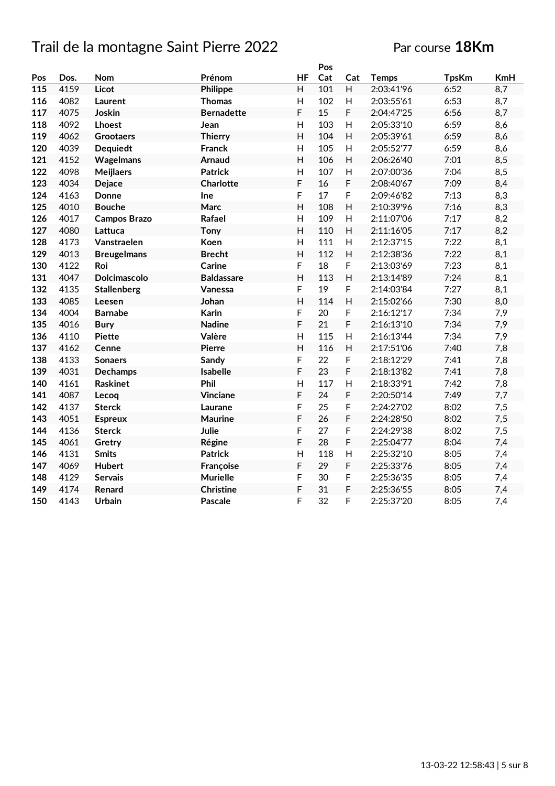#### Par course **18Km**

|     |      |                     |                   |                | Pos |                |              |              |            |
|-----|------|---------------------|-------------------|----------------|-----|----------------|--------------|--------------|------------|
| Pos | Dos. | <b>Nom</b>          | Prénom            | HF             | Cat | Cat            | <b>Temps</b> | <b>TpsKm</b> | <b>KmH</b> |
| 115 | 4159 | <b>Licot</b>        | Philippe          | H              | 101 | H              | 2:03:41'96   | 6:52         | 8,7        |
| 116 | 4082 | Laurent             | <b>Thomas</b>     | Н              | 102 | H              | 2:03:55'61   | 6:53         | 8,7        |
| 117 | 4075 | Joskin              | <b>Bernadette</b> | F              | 15  | F              | 2:04:47'25   | 6:56         | 8,7        |
| 118 | 4092 | Lhoest              | Jean              | Н              | 103 | H              | 2:05:33'10   | 6:59         | 8,6        |
| 119 | 4062 | <b>Grootaers</b>    | <b>Thierry</b>    | H              | 104 | H              | 2:05:39'61   | 6:59         | 8,6        |
| 120 | 4039 | <b>Dequiedt</b>     | <b>Franck</b>     | H              | 105 | H              | 2:05:52'77   | 6:59         | 8,6        |
| 121 | 4152 | Wagelmans           | <b>Arnaud</b>     | H              | 106 | H              | 2:06:26'40   | 7:01         | 8,5        |
| 122 | 4098 | <b>Meijlaers</b>    | <b>Patrick</b>    | H              | 107 | H              | 2:07:00'36   | 7:04         | 8,5        |
| 123 | 4034 | Dejace              | Charlotte         | F              | 16  | F              | 2:08:40'67   | 7:09         | 8,4        |
| 124 | 4163 | Donne               | Ine               | F              | 17  | F              | 2:09:46'82   | 7:13         | 8,3        |
| 125 | 4010 | <b>Bouche</b>       | Marc              | H              | 108 | H              | 2:10:39'96   | 7:16         | 8,3        |
| 126 | 4017 | <b>Campos Brazo</b> | Rafael            | H              | 109 | H              | 2:11:07'06   | 7:17         | 8,2        |
| 127 | 4080 | Lattuca             | <b>Tony</b>       | H              | 110 | H              | 2:11:16'05   | 7:17         | 8,2        |
| 128 | 4173 | Vanstraelen         | Koen              | H              | 111 | H              | 2:12:37'15   | 7:22         | 8,1        |
| 129 | 4013 | <b>Breugelmans</b>  | <b>Brecht</b>     | H              | 112 | H              | 2:12:38'36   | 7:22         | 8,1        |
| 130 | 4122 | Roi                 | Carine            | F              | 18  | F              | 2:13:03'69   | 7:23         | 8,1        |
| 131 | 4047 | Dolcimascolo        | <b>Baldassare</b> | H              | 113 | $\overline{H}$ | 2:13:14'89   | 7:24         | 8,1        |
| 132 | 4135 | <b>Stallenberg</b>  | Vanessa           | F              | 19  | F              | 2:14:03'84   | 7:27         | 8,1        |
| 133 | 4085 | Leesen              | Johan             | H              | 114 | $\mathsf{H}$   | 2:15:02'66   | 7:30         | 8,0        |
| 134 | 4004 | <b>Barnabe</b>      | Karin             | F              | 20  | F              | 2:16:12'17   | 7:34         | 7,9        |
| 135 | 4016 | <b>Bury</b>         | <b>Nadine</b>     | F              | 21  | F              | 2:16:13'10   | 7:34         | 7,9        |
| 136 | 4110 | <b>Piette</b>       | Valère            | H              | 115 | H              | 2:16:13'44   | 7:34         | 7,9        |
| 137 | 4162 | Cenne               | <b>Pierre</b>     | $\overline{H}$ | 116 | H              | 2:17:51'06   | 7:40         | 7,8        |
| 138 | 4133 | <b>Sonaers</b>      | Sandy             | F              | 22  | F              | 2:18:12'29   | 7:41         | 7,8        |
| 139 | 4031 | <b>Dechamps</b>     | Isabelle          | F              | 23  | F              | 2:18:13'82   | 7:41         | 7,8        |
| 140 | 4161 | <b>Raskinet</b>     | Phil              | H              | 117 | $\mathsf{H}$   | 2:18:33'91   | 7:42         | 7,8        |
| 141 | 4087 | Lecoq               | <b>Vinciane</b>   | F              | 24  | F              | 2:20:50'14   | 7:49         | 7,7        |
| 142 | 4137 | <b>Sterck</b>       | Laurane           | F              | 25  | F              | 2:24:27'02   | 8:02         | 7,5        |
| 143 | 4051 | <b>Espreux</b>      | <b>Maurine</b>    | F              | 26  | F              | 2:24:28'50   | 8:02         | 7,5        |
| 144 | 4136 | <b>Sterck</b>       | Julie             | F              | 27  | F              | 2:24:29'38   | 8:02         | 7,5        |
| 145 | 4061 | Gretry              | Régine            | F              | 28  | F              | 2:25:04'77   | 8:04         | 7,4        |
| 146 | 4131 | <b>Smits</b>        | <b>Patrick</b>    | H              | 118 | $\mathsf{H}$   | 2:25:32'10   | 8:05         | 7,4        |
| 147 | 4069 | <b>Hubert</b>       | Françoise         | F              | 29  | F              | 2:25:33'76   | 8:05         | 7,4        |
| 148 | 4129 | <b>Servais</b>      | <b>Murielle</b>   | F              | 30  | F              | 2:25:36'35   | 8:05         | 7,4        |
| 149 | 4174 | Renard              | <b>Christine</b>  | F              | 31  | F              | 2:25:36'55   | 8:05         | 7,4        |
| 150 | 4143 | Urbain              | Pascale           | F              | 32  | F              | 2:25:37'20   | 8:05         | 7,4        |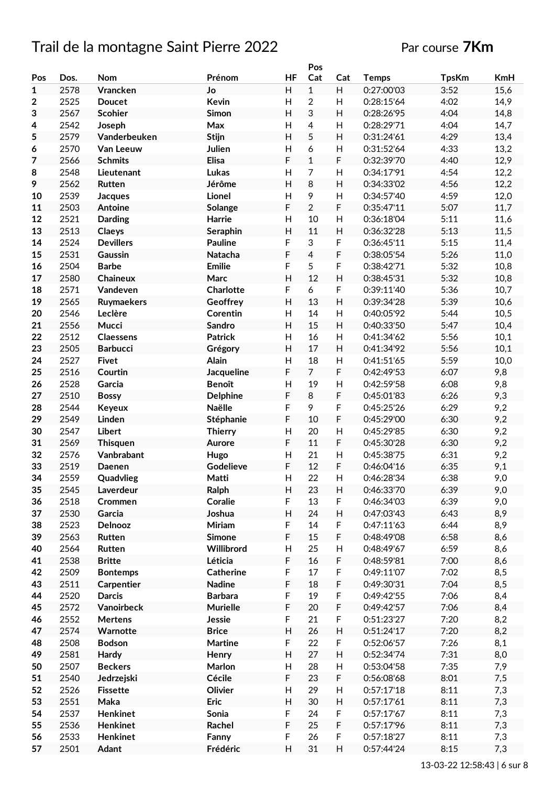# Trail de la montagne Saint Pierre 2022 Par course 7Km

|                |      |                  |                   |           | Pos            |             |              |              |      |
|----------------|------|------------------|-------------------|-----------|----------------|-------------|--------------|--------------|------|
| Pos            | Dos. | Nom              | Prénom            | <b>HF</b> | Cat            | Cat         | <b>Temps</b> | <b>TpsKm</b> | KmH  |
| 1              | 2578 | Vrancken         | Jo                | H         | $\mathbf{1}$   | H           | 0:27:00'03   | 3:52         | 15,6 |
| $\overline{2}$ | 2525 | <b>Doucet</b>    | Kevin             | H         | $\overline{2}$ | H           | 0:28:15'64   | 4:02         | 14,9 |
| 3              | 2567 | <b>Scohier</b>   | Simon             | H         | 3              | H           | 0:28:26'95   | 4:04         | 14,8 |
| 4              | 2542 | Joseph           | Max               | H         | 4              | H           | 0:28:29'71   | 4:04         | 14,7 |
| 5              | 2579 | Vanderbeuken     | Stijn             | H         | 5              | H           | 0:31:24'61   | 4:29         | 13,4 |
| 6              | 2570 | Van Leeuw        | Julien            | H         | 6              | H           | 0:31:52'64   | 4:33         | 13,2 |
| 7              | 2566 | <b>Schmits</b>   | <b>Elisa</b>      | F         | $\mathbf{1}$   | F           | 0:32:39'70   | 4:40         | 12,9 |
|                |      |                  |                   |           |                |             |              |              |      |
| 8              | 2548 | Lieutenant       | Lukas             | H         | 7              | H           | 0:34:17'91   | 4:54         | 12,2 |
| 9              | 2562 | Rutten           | Jérôme            | H         | 8              | H           | 0:34:33'02   | 4:56         | 12,2 |
| 10             | 2539 | <b>Jacques</b>   | Lionel            | H         | 9              | H           | 0:34:57'40   | 4:59         | 12,0 |
| 11             | 2503 | Antoine          | Solange           | F         | $\overline{2}$ | F           | 0:35:47'11   | 5:07         | 11,7 |
| 12             | 2521 | <b>Darding</b>   | Harrie            | н         | 10             | H           | 0:36:18'04   | 5:11         | 11,6 |
| 13             | 2513 | Claeys           | Seraphin          | H         | 11             | H           | 0:36:32'28   | 5:13         | 11,5 |
| 14             | 2524 | <b>Devillers</b> | <b>Pauline</b>    | F         | 3              | F           | 0:36:45'11   | 5:15         | 11,4 |
| 15             | 2531 | Gaussin          | Natacha           | F         | $\overline{4}$ | F           | 0:38:05'54   | 5:26         | 11,0 |
| 16             | 2504 | <b>Barbe</b>     | <b>Emilie</b>     | F         | 5              | F           | 0:38:42'71   | 5:32         | 10,8 |
| 17             | 2580 | <b>Chaineux</b>  | Marc              | H         | 12             | H           | 0:38:45'31   | 5:32         | 10,8 |
| 18             | 2571 | Vandeven         | <b>Charlotte</b>  | F         | 6              | F           | 0:39:11'40   | 5:36         | 10,7 |
| 19             | 2565 | Ruymaekers       | Geoffrey          | H         | 13             | H           | 0:39:34'28   | 5:39         | 10,6 |
|                |      |                  |                   |           |                |             |              |              |      |
| 20             | 2546 | Leclère          | Corentin          | H         | 14             | H           | 0:40:05'92   | 5:44         | 10,5 |
| 21             | 2556 | Mucci            | <b>Sandro</b>     | H         | 15             | H           | 0:40:33'50   | 5:47         | 10,4 |
| 22             | 2512 | <b>Claessens</b> | <b>Patrick</b>    | H         | 16             | H           | 0:41:34'62   | 5:56         | 10,1 |
| 23             | 2505 | <b>Barbucci</b>  | Grégory           | H         | 17             | H           | 0:41:34'92   | 5:56         | 10,1 |
| 24             | 2527 | <b>Fivet</b>     | Alain             | H         | 18             | H           | 0:41:51'65   | 5:59         | 10,0 |
| 25             | 2516 | Courtin          | <b>Jacqueline</b> | F         | $\overline{7}$ | F           | 0:42:49'53   | 6:07         | 9,8  |
| 26             | 2528 | Garcia           | <b>Benoît</b>     | H         | 19             | H           | 0:42:59'58   | 6:08         | 9,8  |
| 27             | 2510 | <b>Bossy</b>     | <b>Delphine</b>   | F         | 8              | F           | 0:45:01'83   | 6:26         | 9,3  |
| 28             | 2544 | Keyeux           | Naëlle            | F         | 9              | F           | 0:45:25'26   | 6:29         | 9,2  |
| 29             | 2549 | Linden           | Stéphanie         | F         | 10             | F           | 0:45:29'00   | 6:30         | 9,2  |
| 30             | 2547 | <b>Libert</b>    | <b>Thierry</b>    | H         | 20             | Н           | 0:45:29'85   | 6:30         | 9,2  |
| 31             | 2569 | <b>Thisquen</b>  | Aurore            | F         | 11             | F           | 0:45:30'28   | 6:30         | 9,2  |
| 32             | 2576 | Vanbrabant       | Hugo              | н         | 21             | H           | 0:45:38'75   | 6:31         | 9,2  |
| 33             | 2519 | Daenen           | Godelieve         | F         | 12             | F           | 0:46:04'16   | 6:35         | 9,1  |
| 34             | 2559 |                  | Matti             |           | 22             |             |              | 6:38         | 9,0  |
|                |      | Quadvlieg        |                   | Н         |                | н           | 0:46:28'34   |              |      |
| 35             | 2545 | Laverdeur        | Ralph             | H         | 23             | Н           | 0:46:33'70   | 6:39         | 9,0  |
| 36             | 2518 | Crommen          | Coralie           | F         | 13             | F           | 0:46:34'03   | 6:39         | 9,0  |
| 37             | 2530 | Garcia           | Joshua            | H         | 24             | H           | 0:47:03'43   | 6:43         | 8,9  |
| 38             | 2523 | Delnooz          | Miriam            | F         | 14             | F           | 0:47:11'63   | 6:44         | 8,9  |
| 39             | 2563 | Rutten           | <b>Simone</b>     | F         | 15             | F           | 0:48:49'08   | 6:58         | 8,6  |
| 40             | 2564 | Rutten           | Willibrord        | H         | 25             | H           | 0:48:49'67   | 6:59         | 8,6  |
| 41             | 2538 | <b>Britte</b>    | Léticia           | F         | 16             | F           | 0:48:59'81   | 7:00         | 8,6  |
| 42             | 2509 | <b>Bontemps</b>  | <b>Catherine</b>  | F         | 17             | $\mathsf F$ | 0:49:11'07   | 7:02         | 8,5  |
| 43             | 2511 | Carpentier       | <b>Nadine</b>     | F         | 18             | F           | 0:49:30'31   | 7:04         | 8,5  |
| 44             | 2520 | <b>Darcis</b>    | <b>Barbara</b>    | F         | 19             | F           | 0:49:42'55   | 7:06         | 8,4  |
| 45             | 2572 | Vanoirbeck       | <b>Murielle</b>   | F         | 20             | F           | 0:49:42'57   | 7:06         | 8,4  |
| 46             | 2552 | <b>Mertens</b>   | Jessie            | F         | 21             | F           | 0:51:23'27   | 7:20         | 8,2  |
| 47             | 2574 | Warnotte         | <b>Brice</b>      | H         | 26             | H           | 0:51:24'17   | 7:20         | 8,2  |
|                | 2508 | <b>Bodson</b>    |                   | F         | 22             | F           | 0:52:06'57   | 7:26         |      |
| 48             |      |                  | <b>Martine</b>    |           |                |             |              |              | 8,1  |
| 49             | 2581 | Hardy            | Henry             | H         | 27             | H           | 0:52:34'74   | 7:31         | 8,0  |
| 50             | 2507 | <b>Beckers</b>   | Marlon            | H         | 28             | Н           | 0:53:04'58   | 7:35         | 7,9  |
| 51             | 2540 | Jedrzejski       | Cécile            | F         | 23             | F           | 0:56:08'68   | 8:01         | 7,5  |
| 52             | 2526 | <b>Fissette</b>  | Olivier           | Н         | 29             | H           | 0:57:17'18   | 8:11         | 7,3  |
| 53             | 2551 | Maka             | Eric              | H         | 30             | H           | 0:57:17'61   | 8:11         | 7,3  |
| 54             | 2537 | <b>Henkinet</b>  | Sonia             | F         | 24             | F           | 0:57:17'67   | 8:11         | 7,3  |
| 55             | 2536 | <b>Henkinet</b>  | Rachel            | F         | 25             | F           | 0:57:17'96   | 8:11         | 7,3  |
| 56             | 2533 | <b>Henkinet</b>  | Fanny             | F         | 26             | F           | 0:57:18'27   | 8:11         | 7,3  |
| 57             | 2501 | Adant            | Frédéric          | H         | 31             | H           | 0:57:44'24   | 8:15         | 7,3  |
|                |      |                  |                   |           |                |             |              |              |      |